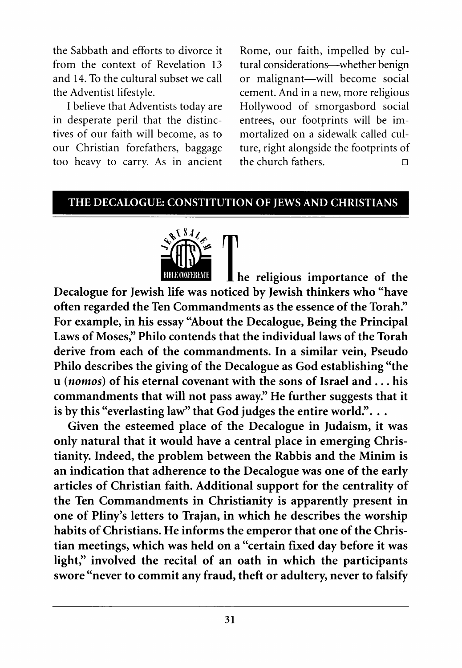the Sabbath and efforts to divorce it from the context of Revelation 13 and 14. To the cultural subset we call the Adventist lifestyle.

I believe that Adventists today are in desperate peril that the distinctives of our faith will become, as to our Christian forefathers, baggage too heavy to carry. As in ancient

Rome, our faith, impelled by cultural considerations— whether benign or malignant— will become social cement. And in a new, more religious Hollywood of smorgasbord social entrees, our footprints will be immortalized on a sidewalk called culture, right alongside the footprints of the church fathers.  $\Box$ 

## **THE DECALOGUE: CONSTITUTION OF JEWS AND CHRISTIANS**



I he religious importance of the **Decalogue for Jewish life was noticed by Jewish thinkers who "have often regarded the Ten Commandments as the essence of the Torah." For example, in his essay "About the Decalogue, Being the Principal Laws of Moses," Philo contends that the individual laws of the Torah derive from each of the commandments. In a similar vein, Pseudo Philo describes the giving of the Decalogue as God establishing "the u (***nomos***) of his eternal covenant with the sons of Israel and . . . his commandments that will not pass away." He further suggests that it is by this "everlasting law" that God judges the entire world.". . .**

**Given the esteemed place of the Decalogue in Judaism, it was only natural that it would have a central place in emerging Christianity. Indeed, the problem between the Rabbis and the Minim is an indication that adherence to the Decalogue was one of the early articles of Christian faith. Additional support for the centrality of the Ten Commandments in Christianity is apparently present in one of Pliny's letters to Trajan, in which he describes the worship habits of Christians. He informs the emperor that one of the Christian meetings, which was held on a "certain fixed day before it was light," involved the recital of an oath in which the participants swore "never to commit any fraud, theft or adultery, never to falsify**